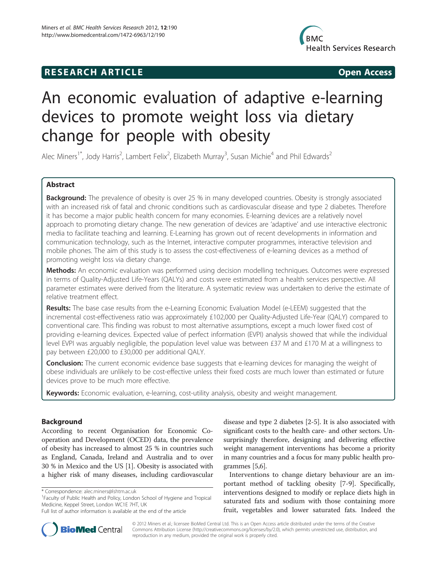# **RESEARCH ARTICLE Example 2018 12:00 Open Access**



# An economic evaluation of adaptive e-learning devices to promote weight loss via dietary change for people with obesity

Alec Miners<sup>1\*</sup>, Jody Harris<sup>2</sup>, Lambert Felix<sup>2</sup>, Elizabeth Murray<sup>3</sup>, Susan Michie<sup>4</sup> and Phil Edwards<sup>2</sup>

# Abstract

**Background:** The prevalence of obesity is over 25 % in many developed countries. Obesity is strongly associated with an increased risk of fatal and chronic conditions such as cardiovascular disease and type 2 diabetes. Therefore it has become a major public health concern for many economies. E-learning devices are a relatively novel approach to promoting dietary change. The new generation of devices are 'adaptive' and use interactive electronic media to facilitate teaching and learning. E-Learning has grown out of recent developments in information and communication technology, such as the Internet, interactive computer programmes, interactive television and mobile phones. The aim of this study is to assess the cost-effectiveness of e-learning devices as a method of promoting weight loss via dietary change.

Methods: An economic evaluation was performed using decision modelling techniques. Outcomes were expressed in terms of Quality-Adjusted Life-Years (QALYs) and costs were estimated from a health services perspective. All parameter estimates were derived from the literature. A systematic review was undertaken to derive the estimate of relative treatment effect.

Results: The base case results from the e-Learning Economic Evaluation Model (e-LEEM) suggested that the incremental cost-effectiveness ratio was approximately £102,000 per Quality-Adjusted Life-Year (QALY) compared to conventional care. This finding was robust to most alternative assumptions, except a much lower fixed cost of providing e-learning devices. Expected value of perfect information (EVPI) analysis showed that while the individual level EVPI was arguably negligible, the population level value was between £37 M and £170 M at a willingness to pay between £20,000 to £30,000 per additional QALY.

Conclusion: The current economic evidence base suggests that e-learning devices for managing the weight of obese individuals are unlikely to be cost-effective unless their fixed costs are much lower than estimated or future devices prove to be much more effective.

Keywords: Economic evaluation, e-learning, cost-utility analysis, obesity and weight management.

# Background

According to recent Organisation for Economic Cooperation and Development (OCED) data, the prevalence of obesity has increased to almost 25 % in countries such as England, Canada, Ireland and Australia and to over 30 % in Mexico and the US [\[1\]](#page-7-0). Obesity is associated with a higher risk of many diseases, including cardiovascular

<sup>1</sup> Faculty of Public Health and Policy, London School of Hygiene and Tropical Medicine, Keppel Street, London WC1E 7HT, UK

disease and type 2 diabetes [\[2](#page-7-0)-[5\]](#page-7-0). It is also associated with significant costs to the health care- and other sectors. Unsurprisingly therefore, designing and delivering effective weight management interventions has become a priority in many countries and a focus for many public health programmes [\[5,6\]](#page-7-0).

Interventions to change dietary behaviour are an important method of tackling obesity [[7-9\]](#page-7-0). Specifically, interventions designed to modify or replace diets high in saturated fats and sodium with those containing more fruit, vegetables and lower saturated fats. Indeed the



© 2012 Miners et al.; licensee BioMed Central Ltd. This is an Open Access article distributed under the terms of the Creative Commons Attribution License [\(http://creativecommons.org/licenses/by/2.0\)](http://creativecommons.org/licenses/by/2.0), which permits unrestricted use, distribution, and reproduction in any medium, provided the original work is properly cited.

<sup>\*</sup> Correspondence: [alec.miners@lshtm.ac.uk](mailto:alec.miners@lshtm.ac.uk) <sup>1</sup>

Full list of author information is available at the end of the article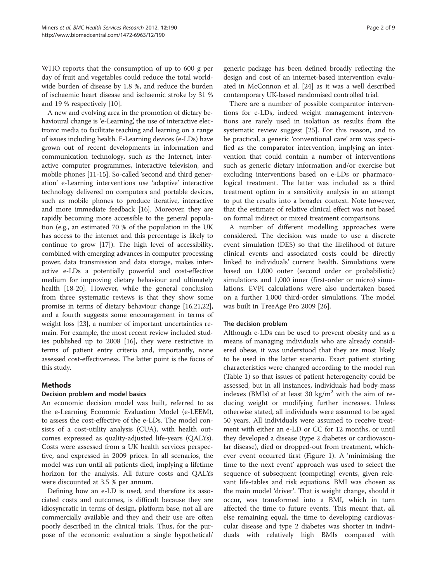WHO reports that the consumption of up to 600 g per day of fruit and vegetables could reduce the total worldwide burden of disease by 1.8 %, and reduce the burden of ischaemic heart disease and ischaemic stroke by 31 % and 19 % respectively [[10\]](#page-7-0).

A new and evolving area in the promotion of dietary behavioural change is 'e-Learning', the use of interactive electronic media to facilitate teaching and learning on a range of issues including health. E-Learning devices (e-LDs) have grown out of recent developments in information and communication technology, such as the Internet, interactive computer programmes, interactive television, and mobile phones [\[11-15\]](#page-7-0). So-called 'second and third generation' e-Learning interventions use 'adaptive' interactive technology delivered on computers and portable devices, such as mobile phones to produce iterative, interactive and more immediate feedback [[16](#page-7-0)]. Moreover, they are rapidly becoming more accessible to the general population (e.g., an estimated 70 % of the population in the UK has access to the internet and this percentage is likely to continue to grow [[17](#page-7-0)]). The high level of accessibility, combined with emerging advances in computer processing power, data transmission and data storage, makes interactive e-LDs a potentially powerful and cost-effective medium for improving dietary behaviour and ultimately health [\[18-20\]](#page-7-0). However, while the general conclusion from three systematic reviews is that they show some promise in terms of dietary behaviour change [\[16,21,22](#page-7-0)], and a fourth suggests some encouragement in terms of weight loss [\[23\]](#page-7-0), a number of important uncertainties remain. For example, the most recent review included studies published up to 2008 [\[16\]](#page-7-0), they were restrictive in terms of patient entry criteria and, importantly, none assessed cost-effectiveness. The latter point is the focus of this study.

# Methods

# Decision problem and model basics

An economic decision model was built, referred to as the e-Learning Economic Evaluation Model (e-LEEM), to assess the cost-effective of the e-LDs. The model consists of a cost-utility analysis (CUA), with health outcomes expressed as quality-adjusted life-years (QALYs). Costs were assessed from a UK health services perspective, and expressed in 2009 prices. In all scenarios, the model was run until all patients died, implying a lifetime horizon for the analysis. All future costs and QALYs were discounted at 3.5 % per annum.

Defining how an e-LD is used, and therefore its associated costs and outcomes, is difficult because they are idiosyncratic in terms of design, platform base, not all are commercially available and they and their use are often poorly described in the clinical trials. Thus, for the purpose of the economic evaluation a single hypothetical/ generic package has been defined broadly reflecting the design and cost of an internet-based intervention evaluated in McConnon et al. [[24](#page-7-0)] as it was a well described contemporary UK-based randomised controlled trial.

There are a number of possible comparator interventions for e-LDs, indeed weight management interventions are rarely used in isolation as results from the systematic review suggest [[25\]](#page-7-0). For this reason, and to be practical, a generic 'conventional care' arm was specified as the comparator intervention, implying an intervention that could contain a number of interventions such as generic dietary information and/or exercise but excluding interventions based on e-LDs or pharmacological treatment. The latter was included as a third treatment option in a sensitivity analysis in an attempt to put the results into a broader context. Note however, that the estimate of relative clinical effect was not based on formal indirect or mixed treatment comparisons.

A number of different modelling approaches were considered. The decision was made to use a discrete event simulation (DES) so that the likelihood of future clinical events and associated costs could be directly linked to individuals' current health. Simulations were based on 1,000 outer (second order or probabilistic) simulations and 1,000 inner (first-order or micro) simulations. EVPI calculations were also undertaken based on a further 1,000 third-order simulations. The model was built in TreeAge Pro 2009 [\[26](#page-7-0)].

# The decision problem

Although e-LDs can be used to prevent obesity and as a means of managing individuals who are already considered obese, it was understood that they are most likely to be used in the latter scenario. Exact patient starting characteristics were changed according to the model run (Table [1](#page-2-0)) so that issues of patient heterogeneity could be assessed, but in all instances, individuals had body-mass indexes (BMIs) of at least 30 kg/m<sup>2</sup> with the aim of reducing weight or modifying further increases. Unless otherwise stated, all individuals were assumed to be aged 50 years. All individuals were assumed to receive treatment with either an e-LD or CC for 12 months, or until they developed a disease (type 2 diabetes or cardiovascular disease), died or dropped-out from treatment, whichever event occurred first (Figure [1\)](#page-2-0). A 'minimising the time to the next event' approach was used to select the sequence of subsequent (competing) events, given relevant life-tables and risk equations. BMI was chosen as the main model 'driver'. That is weight change, should it occur, was transformed into a BMI, which in turn affected the time to future events. This meant that, all else remaining equal, the time to developing cardiovascular disease and type 2 diabetes was shorter in individuals with relatively high BMIs compared with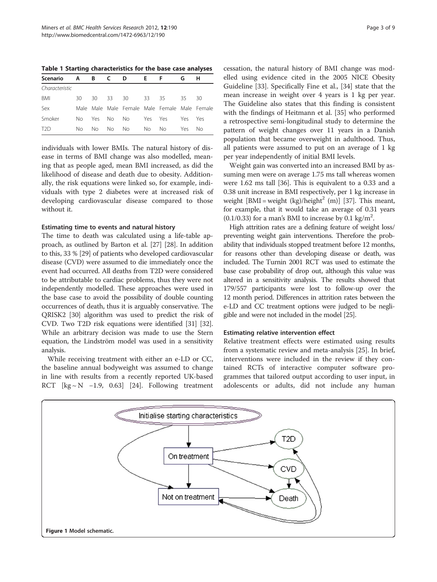<span id="page-2-0"></span>Table 1 Starting characteristics for the base case analyses

| Scenario         | A   | В   | $\mathsf{C}$ | D   | E.   | F.                                            | G       | н  |
|------------------|-----|-----|--------------|-----|------|-----------------------------------------------|---------|----|
| Characteristic   |     |     |              |     |      |                                               |         |    |
| BMI              | 30  | 30. | 33 30        |     | 33   | 35                                            | 35      | 30 |
| Sex              |     |     |              |     |      | Male Male Male Female Male Female Male Female |         |    |
| Smoker           | No. |     | Yes No No    |     |      | Yes Yes                                       | Yes Yes |    |
| T <sub>2</sub> D | Nο  | No. | No l         | No. | No l | No.                                           | Yes     | Nο |

individuals with lower BMIs. The natural history of disease in terms of BMI change was also modelled, meaning that as people aged, mean BMI increased, as did the likelihood of disease and death due to obesity. Additionally, the risk equations were linked so, for example, individuals with type 2 diabetes were at increased risk of developing cardiovascular disease compared to those without it.

#### Estimating time to events and natural history

The time to death was calculated using a life-table approach, as outlined by Barton et al. [[27\]](#page-7-0) [\[28\]](#page-7-0). In addition to this, 33 % [\[29\]](#page-7-0) of patients who developed cardiovascular disease (CVD) were assumed to die immediately once the event had occurred. All deaths from T2D were considered to be attributable to cardiac problems, thus they were not independently modelled. These approaches were used in the base case to avoid the possibility of double counting occurrences of death, thus it is arguably conservative. The QRISK2 [\[30](#page-7-0)] algorithm was used to predict the risk of CVD. Two T2D risk equations were identified [\[31\]](#page-7-0) [[32](#page-7-0)]. While an arbitrary decision was made to use the Stern equation, the Lindström model was used in a sensitivity analysis.

While receiving treatment with either an e-LD or CC, the baseline annual bodyweight was assumed to change in line with results from a recently reported UK-based RCT  $[\text{kg} \sim N$  –1.9, 0.63] [[24\]](#page-7-0). Following treatment

cessation, the natural history of BMI change was modelled using evidence cited in the 2005 NICE Obesity Guideline [[33\]](#page-7-0). Specifically Fine et al., [[34\]](#page-7-0) state that the mean increase in weight over 4 years is 1 kg per year. The Guideline also states that this finding is consistent with the findings of Heitmann et al. [\[35\]](#page-7-0) who performed a retrospective semi-longitudinal study to determine the pattern of weight changes over 11 years in a Danish population that became overweight in adulthood. Thus, all patients were assumed to put on an average of 1 kg per year independently of initial BMI levels.

Weight gain was converted into an increased BMI by assuming men were on average 1.75 ms tall whereas women were 1.62 ms tall [[36](#page-7-0)]. This is equivalent to a 0.33 and a 0.38 unit increase in BMI respectively, per 1 kg increase in weight  $[BMI = weight (kg)/height<sup>2</sup> (m)]$  [\[37\]](#page-7-0). This meant, for example, that it would take an average of 0.31 years (0.1/0.33) for a man's BMI to increase by 0.1 kg/m<sup>2</sup>.

High attrition rates are a defining feature of weight loss/ preventing weight gain interventions. Therefore the probability that individuals stopped treatment before 12 months, for reasons other than developing disease or death, was included. The Turnin 2001 RCT was used to estimate the base case probability of drop out, although this value was altered in a sensitivity analysis. The results showed that 179/557 participants were lost to follow-up over the 12 month period. Differences in attrition rates between the e-LD and CC treatment options were judged to be negligible and were not included in the model [\[25\]](#page-7-0).

#### Estimating relative intervention effect

Relative treatment effects were estimated using results from a systematic review and meta-analysis [\[25](#page-7-0)]. In brief, interventions were included in the review if they contained RCTs of interactive computer software programmes that tailored output according to user input, in adolescents or adults, did not include any human

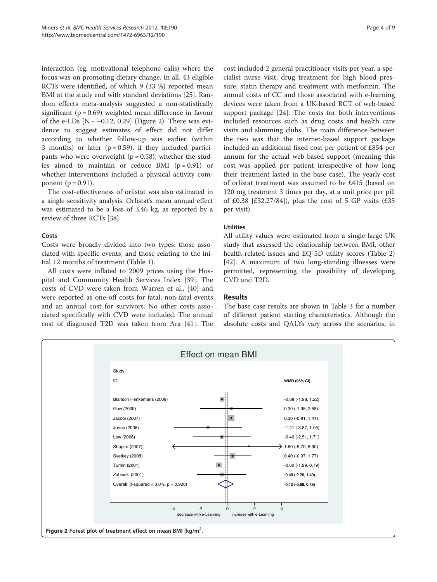interaction (eg. motivational telephone calls) where the focus was on promoting dietary change. In all, 43 eligible RCTs were identified, of which 9 (33 %) reported mean BMI at the study end with standard deviations [\[25\]](#page-7-0). Random effects meta-analysis suggested a non-statistically significant ( $p = 0.69$ ) weighted mean difference in favour of the e-LDs  $[N \sim -0.12, 0.29]$  (Figure 2). There was evidence to suggest estimates of effect did not differ according to whether follow-up was earlier (within 3 months) or later  $(p = 0.59)$ , if they included participants who were overweight ( $p = 0.58$ ), whether the studies aimed to maintain or reduce BMI  $(p = 0.91)$  or whether interventions included a physical activity component ( $p = 0.91$ ).

The cost-effectiveness of orlistat was also estimated in a single sensitivity analysis. Orlistat's mean annual effect was estimated to be a loss of 3.46 kg, as reported by a review of three RCTs [\[38](#page-7-0)].

# Costs

Costs were broadly divided into two types: those associated with specific events, and those relating to the initial 12 months of treatment (Table [1](#page-2-0)).

All costs were inflated to 2009 prices using the Hospital and Community Health Services Index [\[39](#page-7-0)]. The costs of CVD were taken from Warren et al., [\[40](#page-7-0)] and were reported as one-off costs for fatal, non-fatal events and an annual cost for survivors. No other costs associated specifically with CVD were included. The annual cost of diagnosed T2D was taken from Ara [\[41](#page-7-0)]. The

cost included 2 general practitioner visits per year, a specialist nurse visit, drug treatment for high blood pressure, statin therapy and treatment with metformin. The annual costs of CC and those associated with e-learning devices were taken from a UK-based RCT of web-based support package [[24](#page-7-0)]. The costs for both interventions included resources such as drug costs and health care visits and slimming clubs. The main difference between the two was that the internet-based support package included an additional fixed cost per patient of £854 per annum for the actual web-based support (meaning this cost was applied per patient irrespective of how long their treatment lasted in the base case). The yearly cost of orlistat treatment was assumed to be £415 (based on 120 mg treatment 3 times per day, at a unit price per pill of £0.38 [£32.27/84]), plus the cost of 5 GP visits  $(E35)$ per visit).

# **Utilities**

All utility values were estimated from a single large UK study that assessed the relationship between BMI, other health-related issues and EQ-5D utility scores (Table [2](#page-4-0)) [[42\]](#page-7-0). A maximum of two long-standing illnesses were permitted, representing the possibility of developing CVD and T2D.

# Results

The base case results are shown in Table [3](#page-4-0) for a number of different patient starting characteristics. Although the absolute costs and QALYs vary across the scenarios, in

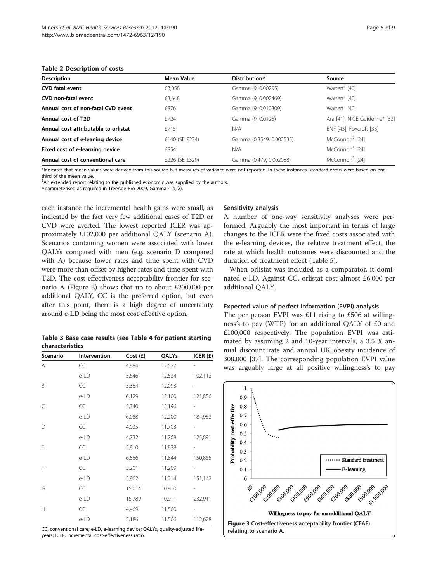#### <span id="page-4-0"></span>Table 2 Description of costs

| <b>Description</b>                   | <b>Mean Value</b> | Distribution <sup><math>\wedge</math></sup> | Source                         |
|--------------------------------------|-------------------|---------------------------------------------|--------------------------------|
| <b>CVD fatal event</b>               | £3,058            | Gamma (9, 0.00295)                          | Warren* [40]                   |
| <b>CVD</b> non-fatal event           | £3,648            | Gamma (9, 0.002469)                         | Warren* [40]                   |
| Annual cost of non-fatal CVD event   | £876              | Gamma (9, 0.010309)                         | Warren* [40]                   |
| Annual cost of T2D                   | f724              | Gamma (9, 0.0125)                           | Ara [41], NICE Guideline* [33] |
| Annual cost attributable to orlistat | <b>£715</b>       | N/A                                         | BNF [43], Foxcroft [38]        |
| Annual cost of e-leaning device      | £140 (SE £234)    | Gamma (0.3549, 0.002535)                    | McConnon <sup>5</sup> [24]     |
| Fixed cost of e-learning device      | f854              | N/A                                         | McConnon <sup>5</sup> [24]     |
| Annual cost of conventional care     | £226 (SE £329)    | Gamma (0.479, 0.002088)                     | McConnon <sup>5</sup> [24]     |

\*Indicates that mean values were derived from this source but measures of variance were not reported. In these instances, standard errors were based on one third of the mean value.

 $<sup>5</sup>$ An extended report relating to the published economic was supplied by the authors.</sup>

^parameterised as required in TreeAge Pro 2009, Gamma ~ (α, λ).

each instance the incremental health gains were small, as indicated by the fact very few additional cases of T2D or CVD were averted. The lowest reported ICER was approximately £102,000 per additional QALY (scenario A). Scenarios containing women were associated with lower QALYs compared with men (e.g. scenario D compared with A) because lower rates and time spent with CVD were more than offset by higher rates and time spent with T2D. The cost-effectiveness acceptability frontier for scenario A (Figure 3) shows that up to about £200,000 per additional QALY, CC is the preferred option, but even after this point, there is a high degree of uncertainty around e-LD being the most cost-effective option.

|                        |  | Table 3 Base case results (see Table 4 for patient starting |
|------------------------|--|-------------------------------------------------------------|
| <b>characteristics</b> |  |                                                             |

| <b>Scenario</b> | Intervention | Cost(f) | QALYs  | ICER $(f)$ |
|-----------------|--------------|---------|--------|------------|
| Α               | CC           | 4,884   | 12.527 |            |
|                 | e-LD         | 5,646   | 12.534 | 102,112    |
| B               | CC           | 5,364   | 12.093 |            |
|                 | e-LD         | 6,129   | 12.100 | 121,856    |
| C               | CC           | 5,340   | 12.196 |            |
|                 | e-LD         | 6,088   | 12.200 | 184,962    |
| D               | CC           | 4,035   | 11.703 |            |
|                 | e-LD         | 4,732   | 11.708 | 125,891    |
| E               | CC           | 5,810   | 11.838 |            |
|                 | e-LD         | 6,566   | 11.844 | 150,865    |
| F               | CC           | 5,201   | 11.209 |            |
|                 | e-LD         | 5,902   | 11.214 | 151,142    |
| G               | CC           | 15,014  | 10.910 |            |
|                 | e-LD         | 15,789  | 10.911 | 232,911    |
| н               | CC           | 4,469   | 11.500 |            |
|                 | e-LD         | 5,186   | 11.506 | 112,628    |

CC, conventional care; e-LD, e-learning device; QALYs, quality-adjusted lifeyears; ICER, incremental cost-effectiveness ratio.

#### Sensitivity analysis

A number of one-way sensitivity analyses were performed. Arguably the most important in terms of large changes to the ICER were the fixed costs associated with the e-learning devices, the relative treatment effect, the rate at which health outcomes were discounted and the duration of treatment effect (Table [5\)](#page-5-0).

When orlistat was included as a comparator, it dominated e-LD. Against CC, orlistat cost almost £6,000 per additional QALY.

# Expected value of perfect information (EVPI) analysis

The per person EVPI was £11 rising to £506 at willingness's to pay (WTP) for an additional QALY of £0 and £100,000 respectively. The population EVPI was estimated by assuming 2 and 10-year intervals, a 3.5 % annual discount rate and annual UK obesity incidence of 308,000 [\[37](#page-7-0)]. The corresponding population EVPI value was arguably large at all positive willingness's to pay

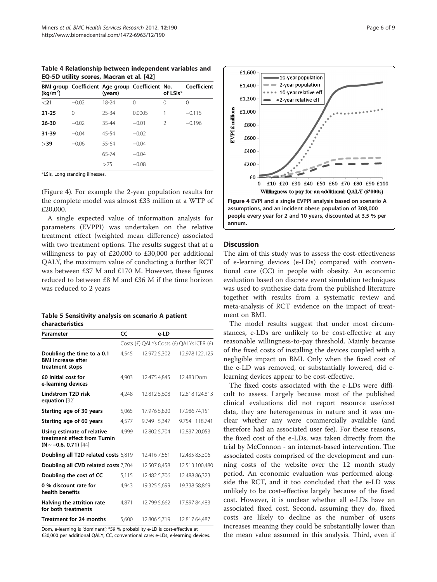<span id="page-5-0"></span>Table 4 Relationship between independent variables and EQ-5D utility scores, Macran et al. [[42\]](#page-7-0)

| (kg/m <sup>2</sup> ) | BMI group Coefficient Age group Coefficient No. | (years)   |         | of LSIs*      | Coefficient |
|----------------------|-------------------------------------------------|-----------|---------|---------------|-------------|
| $21$                 | $-0.02$                                         | 18-24     | 0       | 0             | 0           |
| $21 - 25$            | 0                                               | 25-34     | 0.0005  | 1             | $-0.115$    |
| $26 - 30$            | $-0.02$                                         | $35 - 44$ | $-0.01$ | $\mathcal{L}$ | $-0.196$    |
| 31-39                | $-0.04$                                         | $45 - 54$ | $-0.02$ |               |             |
| >39                  | $-0.06$                                         | $55 - 64$ | $-0.04$ |               |             |
|                      |                                                 | 65-74     | $-0.04$ |               |             |
|                      |                                                 | >75       | $-0.08$ |               |             |

\*LSIs, Long standing illnesses.

(Figure 4). For example the 2-year population results for the complete model was almost £33 million at a WTP of £20,000.

A single expected value of information analysis for parameters (EVPPI) was undertaken on the relative treatment effect (weighted mean difference) associated with two treatment options. The results suggest that at a willingness to pay of £20,000 to £30,000 per additional QALY, the maximum value of conducting a further RCT was between £37 M and £170 M. However, these figures reduced to between £8 M and £36 M if the time horizon was reduced to 2 years

| Table 5 Sensitivity analysis on scenario A patient |  |  |  |
|----------------------------------------------------|--|--|--|
| <b>characteristics</b>                             |  |  |  |

| Parameter                                                                                | CC    | e-LD         |                                          |
|------------------------------------------------------------------------------------------|-------|--------------|------------------------------------------|
|                                                                                          |       |              | Costs (£) QALYs Costs (£) QALYs ICER (£) |
| Doubling the time to a 0.1<br><b>BMI</b> increase after<br>treatment stops               | 4.545 | 12.972 5,302 | 12.978 122,125                           |
| £0 initial cost for<br>e-learning devices                                                | 4.903 | 12.475 4.845 | 12.483 Dom                               |
| <b>Lindstrom T2D risk</b><br>equation [32]                                               | 4,248 | 12.812 5,608 | 12.818 124,813                           |
| Starting age of 30 years                                                                 | 5,065 | 17.976 5,820 | 17.986 74,151                            |
| Starting age of 60 years                                                                 | 4,577 | 9.749 5.347  | 9.754 118.741                            |
| Using estimate of relative<br>treatment effect from Turnin<br>$(N \sim -0.6, 0.71)$ [44] | 4.999 | 12.802 5,704 | 12.837 20,053                            |
| <b>Doubling all T2D related costs 6,819</b>                                              |       | 12.4167,561  | 12.435 83,306                            |
| Doubling all CVD related costs 7,704                                                     |       | 12.5078,458  | 12.513 100,480                           |
| Doubling the cost of CC                                                                  | 5,115 | 12.482 5,706 | 12.488 86,323                            |
| 0 % discount rate for<br>health benefits                                                 | 4.943 | 19.325 5,699 | 19.338 58,869                            |
| Halving the attrition rate<br>for both treatments                                        | 4,871 | 12.799 5,662 | 17.897 84,483                            |
| <b>Treatment for 24 months</b>                                                           | 5.600 | 12.806 5,719 | 12.817 64.487                            |

Dom, e-learning is 'dominant'; \*59 % probability e-LD is cost-effective at £30,000 per additional QALY; CC, conventional care; e-LDs; e-learning devices.



#### **Discussion**

The aim of this study was to assess the cost-effectiveness of e-learning devices (e-LDs) compared with conventional care (CC) in people with obesity. An economic evaluation based on discrete event simulation techniques was used to synthesise data from the published literature together with results from a systematic review and meta-analysis of RCT evidence on the impact of treatment on BMI.

The model results suggest that under most circumstances, e-LDs are unlikely to be cost-effective at any reasonable willingness-to-pay threshold. Mainly because of the fixed costs of installing the devices coupled with a negligible impact on BMI. Only when the fixed cost of the e-LD was removed, or substantially lowered, did elearning devices appear to be cost-effective.

The fixed costs associated with the e-LDs were difficult to assess. Largely because most of the published clinical evaluations did not report resource use/cost data, they are heterogeneous in nature and it was unclear whether any were commercially available (and therefore had an associated user fee). For these reasons, the fixed cost of the e-LDs, was taken directly from the trial by McConnon - an internet-based intervention. The associated costs comprised of the development and running costs of the website over the 12 month study period. An economic evaluation was performed alongside the RCT, and it too concluded that the e-LD was unlikely to be cost-effective largely because of the fixed cost. However, it is unclear whether all e-LDs have an associated fixed cost. Second, assuming they do, fixed costs are likely to decline as the number of users increases meaning they could be substantially lower than the mean value assumed in this analysis. Third, even if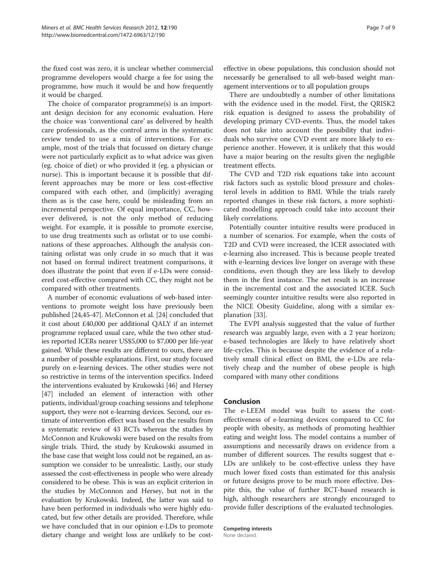the fixed cost was zero, it is unclear whether commercial programme developers would charge a fee for using the programme, how much it would be and how frequently it would be charged.

The choice of comparator programme(s) is an important design decision for any economic evaluation. Here the choice was 'conventional care' as delivered by health care professionals, as the control arms in the systematic review tended to use a mix of interventions. For example, most of the trials that focussed on dietary change were not particularly explicit as to what advice was given (eg. choice of diet) or who provided it (eg. a physician or nurse). This is important because it is possible that different approaches may be more or less cost-effective compared with each other, and (implicitly) averaging them as is the case here, could be misleading from an incremental perspective. Of equal importance, CC, however delivered, is not the only method of reducing weight. For example, it is possible to promote exercise, to use drug treatments such as orlistat or to use combinations of these approaches. Although the analysis containing orlistat was only crude in so much that it was not based on formal indirect treatment comparisons, it does illustrate the point that even if e-LDs were considered cost-effective compared with CC, they might not be compared with other treatments.

A number of economic evaluations of web-based interventions to promote weight loss have previously been published [\[24,45](#page-7-0)-[47](#page-8-0)]. McConnon et al. [[24](#page-7-0)] concluded that it cost about £40,000 per additional QALY if an internet programme replaced usual care, while the two other studies reported ICERs nearer US\$5,000 to \$7,000 per life-year gained. While these results are different to ours, there are a number of possible explanations. First, our study focused purely on e-learning devices. The other studies were not so restrictive in terms of the intervention specifics. Indeed the interventions evaluated by Krukowski [\[46](#page-8-0)] and Hersey [[47](#page-8-0)] included an element of interaction with other patients, individual/group coaching sessions and telephone support, they were not e-learning devices. Second, our estimate of intervention effect was based on the results from a systematic review of 43 RCTs whereas the studies by McConnon and Krukowski were based on the results from single trials. Third, the study by Krukowski assumed in the base case that weight loss could not be regained, an assumption we consider to be unrealistic. Lastly, our study assessed the cost-effectiveness in people who were already considered to be obese. This is was an explicit criterion in the studies by McConnon and Hersey, but not in the evaluation by Krukowski. Indeed, the latter was said to have been performed in individuals who were highly educated, but few other details are provided. Therefore, while we have concluded that in our opinion e-LDs to promote dietary change and weight loss are unlikely to be costeffective in obese populations, this conclusion should not necessarily be generalised to all web-based weight management interventions or to all population groups

There are undoubtedly a number of other limitations with the evidence used in the model. First, the QRISK2 risk equation is designed to assess the probability of developing primary CVD-events. Thus, the model takes does not take into account the possibility that individuals who survive one CVD event are more likely to experience another. However, it is unlikely that this would have a major bearing on the results given the negligible treatment effects.

The CVD and T2D risk equations take into account risk factors such as systolic blood pressure and cholesterol levels in addition to BMI. While the trials rarely reported changes in these risk factors, a more sophisticated modelling approach could take into account their likely correlations.

Potentially counter intuitive results were produced in a number of scenarios. For example, when the costs of T2D and CVD were increased, the ICER associated with e-learning also increased. This is because people treated with e-learning devices live longer on average with these conditions, even though they are less likely to develop them in the first instance. The net result is an increase in the incremental cost and the associated ICER. Such seemingly counter intuitive results were also reported in the NICE Obesity Guideline, along with a similar explanation [\[33\]](#page-7-0).

The EVPI analysis suggested that the value of further research was arguably large, even with a 2 year horizon; e-based technologies are likely to have relatively short life-cycles. This is because despite the evidence of a relatively small clinical effect on BMI, the e-LDs are relatively cheap and the number of obese people is high compared with many other conditions

# Conclusion

The e-LEEM model was built to assess the costeffectiveness of e-learning devices compared to CC for people with obesity, as methods of promoting healthier eating and weight loss. The model contains a number of assumptions and necessarily draws on evidence from a number of different sources. The results suggest that e-LDs are unlikely to be cost-effective unless they have much lower fixed costs than estimated for this analysis or future designs prove to be much more effective. Despite this, the value of further RCT-based research is high, although researchers are strongly encouraged to provide fuller descriptions of the evaluated technologies.

Competing interests None declared.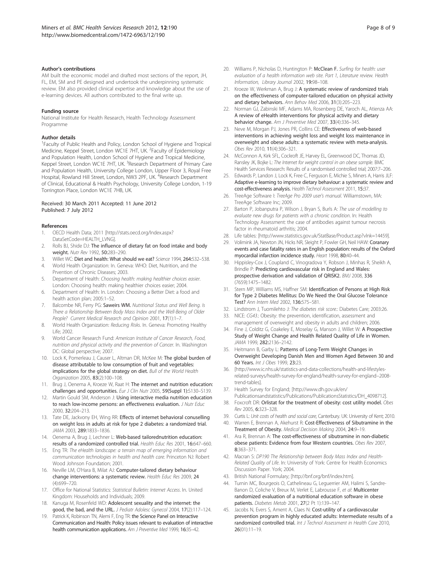#### <span id="page-7-0"></span>Author's contributions

AM built the economic model and drafted most sections of the report, JH, FL, EM, SM and PE designed and undertook the underpinning systematic review. EM also provided clinical expertise and knowledge about the use of e-learning devices. All authors contributed to the final write up.

#### Funding source

National Institute for Health Research, Health Technology Assessment Programme

#### Author details

<sup>1</sup> Faculty of Public Health and Policy, London School of Hygiene and Tropical Medicine, Keppel Street, London WC1E 7HT, UK. <sup>2</sup>Faculty of Epidemiology and Population Health, London School of Hygiene and Tropical Medicine, Keppel Street, London WC1E 7HT, UK. <sup>3</sup>Research Department of Primary Care and Population Health, University College London, Upper Floor 3, Royal Free Hospital, Rowland Hill Street, London, NW3 2PF, UK. <sup>4</sup>Research Department of Clinical, Educational & Health Psychology, University College London, 1-19 Torrington Place, London WC1E 7HB, UK.

#### Received: 30 March 2011 Accepted: 11 June 2012 Published: 7 July 2012

#### References

- 1. OECD Health Data; 2011 [\[http://stats.oecd.org/Index.aspx?](http://stats.oecd.org/Index.aspx?DataSetCode=HEALTH_LVNG) DataSetCode=HEALTH\_LVNGL
- 2. Rolls BJ, Shide DJ: The influence of dietary fat on food intake and body weight. Nutr Rev 1992, 50:283–290.
- 3. Willet WC: Diet and health: What should we eat? Science 1994, 264:532-538.
- 4. World Health Organization: In. Geneva: WHO: Diet, Nutrition, and the Prvention of Chronic Diseases; 2003.
- 5. Department of Health: Choosing health: making healthier choices easier. London: Choosing health: making healthier choices easier; 2004.
- 6. Department of Health: In. London: Choosing a Better Diet: a food and health action plan; 2005:1–52.
- 7. Balcombe NR, Ferry PG: Saweirs WM. Nutritional Status and Well Being. Is There a Relationship Between Body Mass Index and the Well-Being of Older People? Current Medical Research and Opinion 2001, 17(1):1-7.
- 8. World Health Organization: Reducing Risks. In. Geneva: Promoting Healthy Life; 2002.
- 9. World Cancer Research Fund: American Institute of Cancer Research, Food, nutrition and physical activity and the prevention of Cancer. In. Washington DC: Global perspective; 2007.
- 10. Lock K, Pomerleau J, Causer L, Altman DR, McKee M: The global burden of disease attributable to low consumption of fruit and vegetables: implications for the global strategy on diet. Bull of the World Health Organization 2005, 83(2):100–108.
- 11. Brug J, Oenema A, Kroeze W, Raat H: The internet and nutrition education: challenges and opportunities. Eur J Clin Nutr 2005, 59(Suppl 1):S130-S139.
- 12. Martin Gould SM, Anderson J: Using interactive media nutrition education to reach low-income persons: an effectiveness evaluation. J Nutr Educ 2000, 32:204–213.
- 13. Tate DE, Jackvony EH, Wing RR: Effects of internet behavioral conuselling on weight loss in adults at risk for type 2 diabetes: a randomized trial. JAMA 2003, 289:1833-1836
- 14. Oenema A, Brug J, Lechner L: Web-based tailorednutrition education: results of a randomized controlled trial. Health Educ Res 2001, 16:647–660.
- 15. Eng TR: The eHealth landscape: a terrain map of emerging information and communication technologies in health and health care. Princeton NJ: Robert Wood Johnson Foundation; 2001.
- 16. Neville LM, O'Hara B, Milat AJ: Computer-tailored dietary behaviour change interventions: a systematic review. Health Educ Res 2009, 24 (4):699–720.
- 17. Office for National Statistics: Statistical Bulletin: Internet Access. In. United Kingdom: Households and Individuals; 2009.
- 18. Kanuga M, Rosenfeld WD: Adolescent sexuality and the internet: the good, the bad, and the URL. J Pediatr Adolesc Gynecol 2004, 17(2):117–124.
- 19. Patrick K, Robinson TN, Alemi F, Eng TR: the Science Panel on Interactive Communication and Health: Policy issues relevant to evaluation of interactive health communication applications. Am J Preventive Med 1999, 16:35–42.
- 20. Williams P, Nicholas D, Huntington P: McClean F. Surfing for health: user evaluation of a health information web site. Part 1, Literature review. Health Information, Library Journal 2002, 19:98–108.
- 21. Kroeze W, Werkman A, Brug J: A systematic review of randomized trials on the effectiveness of computer-tailored education on physical activity and dietary behaviors. Ann Behav Med 2006, 31(3):205–223.
- 22. Norman GJ, Zabinski MF, Adams MA, Rosenberg DE, Yaroch AL, Atienza AA: A review of eHealth interventions for physical activity and dietary behavior change. Am J Preventive Med 2007, 33(4):336–345.
- 23. Neve M, Morgan PJ, Jones PR, Collins CE: Effectiveness of web-based interventions in achieving weight loss and weight loss maintenance in overweight and obese adults: a systematic review with meta-analysis. Obes Rev 2010, 11(4):306–321.
- 24. McConnon A, Kirk SFL, Cockroft JE, Harvey EL, Greenwood DC, Thomas JD, Ransley JK, Bojke L: The Internet for weight control in an obese sample. BMC Health Services Research: Results of a randomised controlled trial; 2007:7–206.
- 25. Edwards P, Landon J, Lock K, Free C, Ferguson E, Michie S, Miners A, Harris JLF: Adaptive e-learning to improve dietary behaviour: a systematic review and cost-effectiveness analysis. Health Technol Assessment 2011, 15:37.
- 26. TreeAge Software I: TreeAge Pro 2009 user's manual. Williamstown, MA: TreeAge Software Inc; 2009.
- 27. Barton P, Jobanputra P, Wilson J, Bryan S, Burls A: The use of modelling to evaluate new drugs for patients with a chronic condition. In: Health Technology Assessment: the case of antibodies against tumour necrosis factor in rheumatoid arthritis; 2004.
- 28. Life tables: [[http://www.statistics.gov.uk/StatBase/Product.asp?vlnk=14459\]](http://www.statistics.gov.uk/StatBase/Product.asp?vlnk=14459).
- 29. Volimink JA, Newton JN, Hicks NR, Sleight P, Fowler GH, Neil HAW: Coranary events and case fatality rates in an English population: results of the Oxford myocardial infarction incidence study. Heart 1998, 80:40–44.
- 30. Hippisley-Cox J, Coupland C, Vinogradova Y, Robson J, Minhas R, Sheikh A, Brindle P: Predicting cardiovascular risk in England and Wales: prospective derivation and validation of QRISK2. BMJ 2008, 336 (7659):1475–1482.
- 31. Stern MP, Williams MS, Haffner SM: Identification of Persons at High Risk for Type 2 Diabetes Mellitus: Do We Need the Oral Glucose Tolerance Test? Ann Intern Med 2002, 136:575–581.
- 32. Lindstrom J, Tuomilehto J: The diabetes risk score.: Diabetes Care; 2003:26.
- 33. NICE: CG43.: Obesity: the prevention, identification, assessment and management of overweight and obesity in adults and children; 2006.
- 34. Fine J, Colditz G, Coakeley E, Moselay G, Manson J, Willet W: A Prospective Study of Weight Change and Health Related Quality of Life in Women. JAMA 1999, 282:2136-2142.
- 35. Heitmann B, Garby L: Patterns of Long-Term Weight Changes in Overweight Developing Danish Men and Women Aged Between 30 and 60 Years. Int J Obes 1999, 23:23.
- 36. [[http://www.ic.nhs.uk/statistics-and-data-collections/health-and-lifestyles](http://www.ic.nhs.uk/statistics-and-data-collections/health-and-lifestyles-related-surveys/health-survey-for-england/health-survey-for-england--2008-trend-tables)[related-surveys/health-survey-for-england/health-survey-for-england](http://www.ic.nhs.uk/statistics-and-data-collections/health-and-lifestyles-related-surveys/health-survey-for-england/health-survey-for-england--2008-trend-tables)–2008 [trend-tables\]](http://www.ic.nhs.uk/statistics-and-data-collections/health-and-lifestyles-related-surveys/health-survey-for-england/health-survey-for-england--2008-trend-tables).
- 37. Health Survey for England; [[http://www.dh.gov.uk/en/](http://www.dh.gov.uk/en/Publicationsandstatistics/Publications/PublicationsStatistics/DH_4098712) [Publicationsandstatistics/Publications/PublicationsStatistics/DH\\_4098712\]](http://www.dh.gov.uk/en/Publicationsandstatistics/Publications/PublicationsStatistics/DH_4098712).
- 38. Foxcroft DR: Orlistat for the treatment of obesity: cost utility model. Obes Rev 2005, 6:323–328.
- 39. Curtis L: Unit costs of health and social care, Canterbury. UK: University of Kent; 2010.
- 40. Warren E, Brennan A, Akehurst R: Cost-Effectiveness of Sibutramine in the Treatment of Obesity. Medical Decision Making 2004, 24:9–19.
- 41. Ara R, Brennan A: The cost-effectiveness of sibutramine in non-diabetic obese patients: Evidence from four Western countries. Obes Rev 2007, 8:363–371.
- 42. Macran S: DP190 The Relationship between Body Mass Index and Health-Related Quality of Life. In: University of York: Centre for Health Economics Discussion Paper. York; 2004.
- 43. British National Formulary; [\[http://bnf.org/bnf/index.htm\]](http://bnf.org/bnf/index.htm).
- 44. Turnin MC, Bourgeois O, Cathelineau G, Leguerrier AM, Halimi S, Sandre-Banon D, Coliche V, Breux M, Verlet E, Labrousse F, et al: Multicenter randomized evaluation of a nutritional education software in obese patients. Diabetes Metab 2001, 27(2 Pt 1):139–147.
- 45. Jacobs N, Evers S, Ament A, Claes N: Cost-utility of a cardiovascular prevention program in highly educated adults: Intermediate results of a randomized controlled trial. Int J Technol Assessment in Health Care 2010, 26(01):11–19.